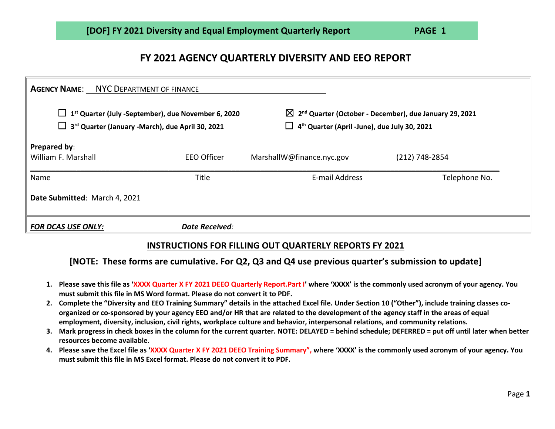## **FY 2021 AGENCY QUARTERLY DIVERSITY AND EEO REPORT**

| <b>AGENCY NAME: NYC DEPARTMENT OF FINANCE</b> |                                                                                                                                                  |                       |                                                                                                                                                   |                  |  |  |  |
|-----------------------------------------------|--------------------------------------------------------------------------------------------------------------------------------------------------|-----------------------|---------------------------------------------------------------------------------------------------------------------------------------------------|------------------|--|--|--|
|                                               | $\mathcal{L}^{\mathcal{A}}$<br>1st Quarter (July -September), due November 6, 2020<br>$\Box$<br>3rd Quarter (January -March), due April 30, 2021 |                       | $\boxtimes$ 2 <sup>nd</sup> Quarter (October - December), due January 29, 2021<br>$\Box$ 4 <sup>th</sup> Quarter (April -June), due July 30, 2021 |                  |  |  |  |
| Prepared by:<br>William F. Marshall           |                                                                                                                                                  | <b>EEO Officer</b>    | MarshallW@finance.nyc.gov                                                                                                                         | $(212)$ 748-2854 |  |  |  |
| Name                                          |                                                                                                                                                  | Title                 | E-mail Address                                                                                                                                    | Telephone No.    |  |  |  |
|                                               | Date Submitted: March 4, 2021                                                                                                                    |                       |                                                                                                                                                   |                  |  |  |  |
| <b>FOR DCAS USE ONLY:</b>                     |                                                                                                                                                  | <b>Date Received:</b> |                                                                                                                                                   |                  |  |  |  |

#### **INSTRUCTIONS FOR FILLING OUT QUARTERLY REPORTS FY 2021**

#### **[NOTE: These forms are cumulative. For Q2, Q3 and Q4 use previous quarter's submission to update]**

- **1. Please save this file as 'XXXX Quarter X FY 2021 DEEO Quarterly Report.Part I' where 'XXXX' is the commonly used acronym of your agency. You must submit this file in MS Word format. Please do not convert it to PDF.**
- **2. Complete the "Diversity and EEO Training Summary" details in the attached Excel file. Under Section 10 ("Other"), include training classes coorganized or co-sponsored by your agency EEO and/or HR that are related to the development of the agency staff in the areas of equal employment, diversity, inclusion, civil rights, workplace culture and behavior, interpersonal relations, and community relations.**
- **3. Mark progress in check boxes in the column for the current quarter. NOTE: DELAYED = behind schedule; DEFERRED = put off until later when better resources become available.**
- **4. Please save the Excel file as 'XXXX Quarter X FY 2021 DEEO Training Summary", where 'XXXX' is the commonly used acronym of your agency. You must submit this file in MS Excel format. Please do not convert it to PDF.**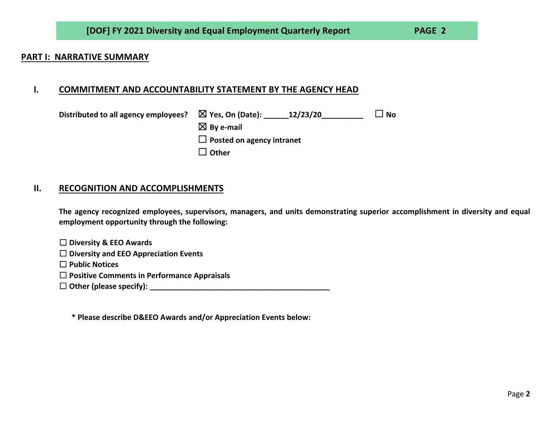#### **PART I: NARRATIVE SUMMARY**

#### **I. COMMITMENT AND ACCOUNTABILITY STATEMENT BY THE AGENCY HEAD**

| Distributed to all agency employees? $\boxtimes$ Yes, On (Date): | 12/23/20                         | $\Box$ No |
|------------------------------------------------------------------|----------------------------------|-----------|
|                                                                  | $\boxtimes$ By e-mail            |           |
|                                                                  | $\Box$ Posted on agency intranet |           |
|                                                                  | $\Box$ Other                     |           |

#### **II. RECOGNITION AND ACCOMPLISHMENTS**

**The agency recognized employees, supervisors, managers, and units demonstrating superior accomplishment in diversity and equal employment opportunity through the following:**

☐ **Diversity & EEO Awards**

☐ **Diversity and EEO Appreciation Events**

☐ **Public Notices**

☐ **Positive Comments in Performance Appraisals**

☐ **Other (please specify): \_\_\_\_\_\_\_\_\_\_\_\_\_\_\_\_\_\_\_\_\_\_\_\_\_\_\_\_\_\_\_\_\_\_\_\_\_\_\_\_\_\_\_**

**\* Please describe D&EEO Awards and/or Appreciation Events below:**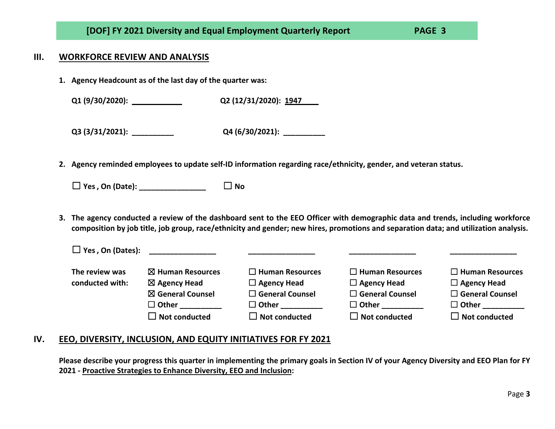#### **III. WORKFORCE REVIEW AND ANALYSIS**

**1. Agency Headcount as of the last day of the quarter was:**

**Q1 (9/30/2020): \_\_\_\_\_\_\_\_\_\_\_\_ Q2 (12/31/2020): 1947\_\_\_\_**

**Q3 (3/31/2021): \_\_\_\_\_\_\_\_\_\_ Q4 (6/30/2021): \_\_\_\_\_\_\_\_\_\_**

**2. Agency reminded employees to update self-ID information regarding race/ethnicity, gender, and veteran status.**

☐ **Yes, On (Date): \_\_\_\_\_\_\_\_\_\_\_\_\_\_\_\_** ☐ **No**

**3. The agency conducted a review of the dashboard sent to the EEO Officer with demographic data and trends, including workforce composition by job title, job group, race/ethnicity and gender; new hires, promotions and separation data; and utilization analysis.**

| $\Box$ Yes, On (Dates): |                             |                        |                        |                        |
|-------------------------|-----------------------------|------------------------|------------------------|------------------------|
| The review was          | $\boxtimes$ Human Resources | $\Box$ Human Resources | $\Box$ Human Resources | $\Box$ Human Resources |
| conducted with:         | $\boxtimes$ Agency Head     | $\Box$ Agency Head     | $\Box$ Agency Head     | $\Box$ Agency Head     |
|                         | ⊠ General Counsel           | $\Box$ General Counsel | $\Box$ General Counsel | $\Box$ General Counsel |
|                         | $\Box$ Other                | $\Box$ Other           | $\Box$ Other           | $\Box$ Other           |
|                         | $\Box$ Not conducted        | $\Box$ Not conducted   | $\Box$ Not conducted   | $\Box$ Not conducted   |

#### **IV. EEO, DIVERSITY, INCLUSION, AND EQUITY INITIATIVES FOR FY 2021**

**Please describe your progress this quarter in implementing the primary goals in Section IV of your Agency Diversity and EEO Plan for FY 2021 - Proactive Strategies to Enhance Diversity, EEO and Inclusion:**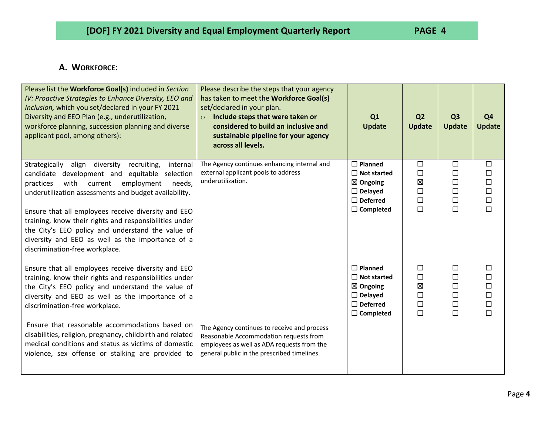# **A. WORKFORCE:**

| Please list the Workforce Goal(s) included in Section<br>IV: Proactive Strategies to Enhance Diversity, EEO and<br>Inclusion, which you set/declared in your FY 2021<br>Diversity and EEO Plan (e.g., underutilization,<br>workforce planning, succession planning and diverse<br>applicant pool, among others):                                                                                                                                                                          | Please describe the steps that your agency<br>has taken to meet the Workforce Goal(s)<br>set/declared in your plan.<br>Include steps that were taken or<br>$\circ$<br>considered to build an inclusive and<br>sustainable pipeline for your agency<br>across all levels. | Q1<br><b>Update</b>                                                                                                  | Q <sub>2</sub><br><b>Update</b>                     | Q <sub>3</sub><br><b>Update</b>           | Q <sub>4</sub><br><b>Update</b>      |
|-------------------------------------------------------------------------------------------------------------------------------------------------------------------------------------------------------------------------------------------------------------------------------------------------------------------------------------------------------------------------------------------------------------------------------------------------------------------------------------------|--------------------------------------------------------------------------------------------------------------------------------------------------------------------------------------------------------------------------------------------------------------------------|----------------------------------------------------------------------------------------------------------------------|-----------------------------------------------------|-------------------------------------------|--------------------------------------|
| Strategically<br>align diversity<br>recruiting,<br>internal<br>candidate development and equitable selection<br>with<br>employment<br>practices<br>current<br>needs,<br>underutilization assessments and budget availability.<br>Ensure that all employees receive diversity and EEO<br>training, know their rights and responsibilities under<br>the City's EEO policy and understand the value of<br>diversity and EEO as well as the importance of a<br>discrimination-free workplace. | The Agency continues enhancing internal and<br>external applicant pools to address<br>underutilization.                                                                                                                                                                  | $\Box$ Planned<br>$\Box$ Not started<br>$\boxtimes$ Ongoing<br>$\Box$ Delayed<br>$\Box$ Deferred<br>$\Box$ Completed | $\Box$<br>$\Box$<br>Ø<br>$\Box$<br>$\Box$<br>$\Box$ | □<br>□<br>$\Box$<br>$\Box$<br>□<br>$\Box$ | $\Box$<br>□<br>□<br>$\Box$<br>□<br>□ |
| Ensure that all employees receive diversity and EEO<br>training, know their rights and responsibilities under<br>the City's EEO policy and understand the value of<br>diversity and EEO as well as the importance of a<br>discrimination-free workplace.<br>Ensure that reasonable accommodations based on<br>disabilities, religion, pregnancy, childbirth and related<br>medical conditions and status as victims of domestic<br>violence, sex offense or stalking are provided to      | The Agency continues to receive and process<br>Reasonable Accommodation requests from<br>employees as well as ADA requests from the<br>general public in the prescribed timelines.                                                                                       | $\Box$ Planned<br>$\Box$ Not started<br>$\boxtimes$ Ongoing<br>$\Box$ Delayed<br>$\Box$ Deferred<br>$\Box$ Completed | □<br>$\Box$<br>$\boxtimes$<br>□<br>$\Box$<br>П      | □<br>$\Box$<br>□<br>$\Box$<br>$\Box$<br>П | □<br>□<br>□<br>□<br>$\Box$<br>П      |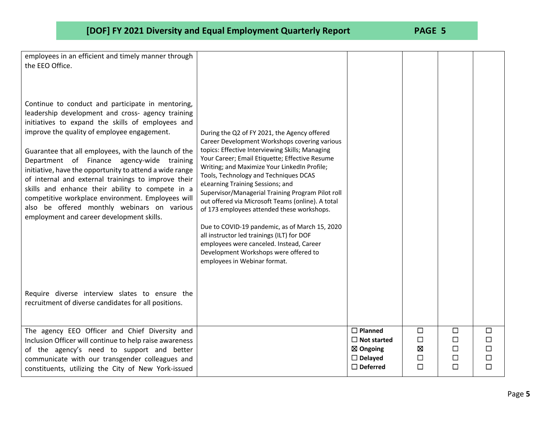| employees in an efficient and timely manner through<br>the EEO Office.<br>Continue to conduct and participate in mentoring,<br>leadership development and cross- agency training<br>initiatives to expand the skills of employees and<br>improve the quality of employee engagement.<br>Guarantee that all employees, with the launch of the<br>Department of Finance agency-wide training<br>initiative, have the opportunity to attend a wide range<br>of internal and external trainings to improve their<br>skills and enhance their ability to compete in a<br>competitive workplace environment. Employees will<br>also be offered monthly webinars on various<br>employment and career development skills.<br>Require diverse interview slates to ensure the<br>recruitment of diverse candidates for all positions. | During the Q2 of FY 2021, the Agency offered<br>Career Development Workshops covering various<br>topics: Effective Interviewing Skills; Managing<br>Your Career; Email Etiquette; Effective Resume<br>Writing; and Maximize Your LinkedIn Profile;<br>Tools, Technology and Techniques DCAS<br>eLearning Training Sessions; and<br>Supervisor/Managerial Training Program Pilot roll<br>out offered via Microsoft Teams (online). A total<br>of 173 employees attended these workshops.<br>Due to COVID-19 pandemic, as of March 15, 2020<br>all instructor led trainings (ILT) for DOF<br>employees were canceled. Instead, Career<br>Development Workshops were offered to<br>employees in Webinar format. |                     |        |        |        |
|-----------------------------------------------------------------------------------------------------------------------------------------------------------------------------------------------------------------------------------------------------------------------------------------------------------------------------------------------------------------------------------------------------------------------------------------------------------------------------------------------------------------------------------------------------------------------------------------------------------------------------------------------------------------------------------------------------------------------------------------------------------------------------------------------------------------------------|--------------------------------------------------------------------------------------------------------------------------------------------------------------------------------------------------------------------------------------------------------------------------------------------------------------------------------------------------------------------------------------------------------------------------------------------------------------------------------------------------------------------------------------------------------------------------------------------------------------------------------------------------------------------------------------------------------------|---------------------|--------|--------|--------|
| The agency EEO Officer and Chief Diversity and                                                                                                                                                                                                                                                                                                                                                                                                                                                                                                                                                                                                                                                                                                                                                                              |                                                                                                                                                                                                                                                                                                                                                                                                                                                                                                                                                                                                                                                                                                              | $\square$ Planned   | $\Box$ | $\Box$ | $\Box$ |
| Inclusion Officer will continue to help raise awareness                                                                                                                                                                                                                                                                                                                                                                                                                                                                                                                                                                                                                                                                                                                                                                     |                                                                                                                                                                                                                                                                                                                                                                                                                                                                                                                                                                                                                                                                                                              | $\Box$ Not started  | □      | □      | □      |
| of the agency's need to support and better                                                                                                                                                                                                                                                                                                                                                                                                                                                                                                                                                                                                                                                                                                                                                                                  |                                                                                                                                                                                                                                                                                                                                                                                                                                                                                                                                                                                                                                                                                                              | $\boxtimes$ Ongoing | Ø      | □      | $\Box$ |
| communicate with our transgender colleagues and                                                                                                                                                                                                                                                                                                                                                                                                                                                                                                                                                                                                                                                                                                                                                                             |                                                                                                                                                                                                                                                                                                                                                                                                                                                                                                                                                                                                                                                                                                              | $\Box$ Delayed      | $\Box$ | $\Box$ | □      |
| constituents, utilizing the City of New York-issued                                                                                                                                                                                                                                                                                                                                                                                                                                                                                                                                                                                                                                                                                                                                                                         |                                                                                                                                                                                                                                                                                                                                                                                                                                                                                                                                                                                                                                                                                                              | $\square$ Deferred  | $\Box$ | $\Box$ | □      |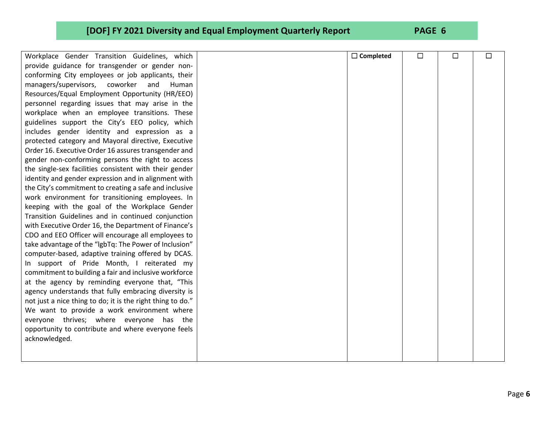| Workplace Gender Transition Guidelines, which              | $\Box$ Completed | $\Box$ | $\Box$ | $\Box$ |
|------------------------------------------------------------|------------------|--------|--------|--------|
| provide guidance for transgender or gender non-            |                  |        |        |        |
| conforming City employees or job applicants, their         |                  |        |        |        |
| managers/supervisors, coworker<br>and<br>Human             |                  |        |        |        |
| Resources/Equal Employment Opportunity (HR/EEO)            |                  |        |        |        |
| personnel regarding issues that may arise in the           |                  |        |        |        |
| workplace when an employee transitions. These              |                  |        |        |        |
| guidelines support the City's EEO policy, which            |                  |        |        |        |
| includes gender identity and expression as a               |                  |        |        |        |
| protected category and Mayoral directive, Executive        |                  |        |        |        |
| Order 16. Executive Order 16 assures transgender and       |                  |        |        |        |
| gender non-conforming persons the right to access          |                  |        |        |        |
| the single-sex facilities consistent with their gender     |                  |        |        |        |
| identity and gender expression and in alignment with       |                  |        |        |        |
| the City's commitment to creating a safe and inclusive     |                  |        |        |        |
| work environment for transitioning employees. In           |                  |        |        |        |
| keeping with the goal of the Workplace Gender              |                  |        |        |        |
| Transition Guidelines and in continued conjunction         |                  |        |        |        |
| with Executive Order 16, the Department of Finance's       |                  |        |        |        |
| CDO and EEO Officer will encourage all employees to        |                  |        |        |        |
| take advantage of the "IgbTq: The Power of Inclusion"      |                  |        |        |        |
| computer-based, adaptive training offered by DCAS.         |                  |        |        |        |
| In support of Pride Month, I reiterated my                 |                  |        |        |        |
| commitment to building a fair and inclusive workforce      |                  |        |        |        |
| at the agency by reminding everyone that, "This            |                  |        |        |        |
| agency understands that fully embracing diversity is       |                  |        |        |        |
| not just a nice thing to do; it is the right thing to do." |                  |        |        |        |
| We want to provide a work environment where                |                  |        |        |        |
| everyone thrives; where everyone has the                   |                  |        |        |        |
| opportunity to contribute and where everyone feels         |                  |        |        |        |
| acknowledged.                                              |                  |        |        |        |
|                                                            |                  |        |        |        |
|                                                            |                  |        |        |        |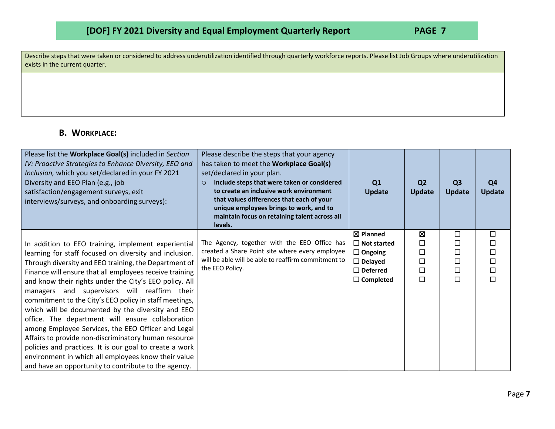Describe steps that were taken or considered to address underutilization identified through quarterly workforce reports. Please list Job Groups where underutilization exists in the current quarter.

#### **B. WORKPLACE:**

| Please list the Workplace Goal(s) included in Section<br>IV: Proactive Strategies to Enhance Diversity, EEO and<br>Inclusion, which you set/declared in your FY 2021<br>Diversity and EEO Plan (e.g., job<br>satisfaction/engagement surveys, exit<br>interviews/surveys, and onboarding surveys):                                                                                                                                                                                                                                                                                                                                                                                                                                                                                                     | Please describe the steps that your agency<br>has taken to meet the Workplace Goal(s)<br>set/declared in your plan.<br>Include steps that were taken or considered<br>$\circ$<br>to create an inclusive work environment<br>that values differences that each of your<br>unique employees brings to work, and to<br>maintain focus on retaining talent across all<br>levels. | Q1<br><b>Update</b>                                                                                                  | Q <sub>2</sub><br><b>Update</b>           | Q <sub>3</sub><br><b>Update</b> | Q4<br><b>Update</b>                  |
|--------------------------------------------------------------------------------------------------------------------------------------------------------------------------------------------------------------------------------------------------------------------------------------------------------------------------------------------------------------------------------------------------------------------------------------------------------------------------------------------------------------------------------------------------------------------------------------------------------------------------------------------------------------------------------------------------------------------------------------------------------------------------------------------------------|------------------------------------------------------------------------------------------------------------------------------------------------------------------------------------------------------------------------------------------------------------------------------------------------------------------------------------------------------------------------------|----------------------------------------------------------------------------------------------------------------------|-------------------------------------------|---------------------------------|--------------------------------------|
| In addition to EEO training, implement experiential<br>learning for staff focused on diversity and inclusion.<br>Through diversity and EEO training, the Department of<br>Finance will ensure that all employees receive training<br>and know their rights under the City's EEO policy. All<br>managers and supervisors will reaffirm their<br>commitment to the City's EEO policy in staff meetings,<br>which will be documented by the diversity and EEO<br>office. The department will ensure collaboration<br>among Employee Services, the EEO Officer and Legal<br>Affairs to provide non-discriminatory human resource<br>policies and practices. It is our goal to create a work<br>environment in which all employees know their value<br>and have an opportunity to contribute to the agency. | The Agency, together with the EEO Office has<br>created a Share Point site where every employee<br>will be able will be able to reaffirm commitment to<br>the EEO Policy.                                                                                                                                                                                                    | $\boxtimes$ Planned<br>$\Box$ Not started<br>$\Box$ Ongoing<br>$\Box$ Delayed<br>$\Box$ Deferred<br>$\Box$ Completed | Ø<br>□<br>$\Box$<br>$\Box$<br>П<br>$\Box$ | □<br>□<br>□<br>□<br>□<br>$\Box$ | □<br>$\Box$<br>□<br>□<br>$\Box$<br>□ |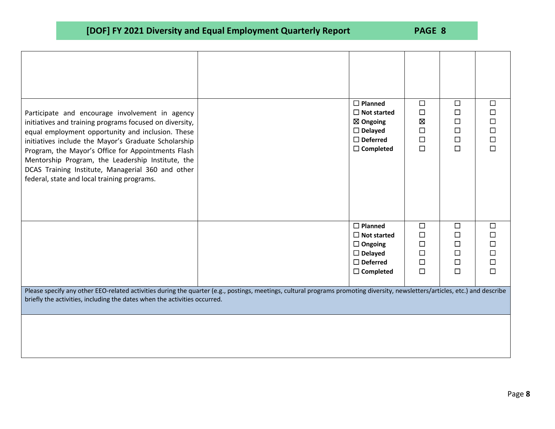| Participate and encourage involvement in agency<br>initiatives and training programs focused on diversity,<br>equal employment opportunity and inclusion. These<br>initiatives include the Mayor's Graduate Scholarship<br>Program, the Mayor's Office for Appointments Flash<br>Mentorship Program, the Leadership Institute, the<br>DCAS Training Institute, Managerial 360 and other<br>federal, state and local training programs. |  | $\Box$ Planned<br>$\Box$ Not started<br>$\boxtimes$ Ongoing<br>$\Box$ Delayed<br>$\Box$ Deferred<br>$\Box$ Completed | $\Box$<br>$\Box$<br>Ø<br>$\Box$<br>$\Box$<br>$\Box$ | $\Box$<br>□<br>□<br>□<br>$\Box$<br>$\Box$ | $\Box$<br>$\Box$<br>$\Box$<br>$\Box$<br>$\Box$<br>$\Box$ |  |
|----------------------------------------------------------------------------------------------------------------------------------------------------------------------------------------------------------------------------------------------------------------------------------------------------------------------------------------------------------------------------------------------------------------------------------------|--|----------------------------------------------------------------------------------------------------------------------|-----------------------------------------------------|-------------------------------------------|----------------------------------------------------------|--|
|                                                                                                                                                                                                                                                                                                                                                                                                                                        |  | $\Box$ Planned<br>$\Box$ Not started                                                                                 | $\Box$<br>$\Box$                                    | $\Box$<br>$\Box$                          | $\Box$<br>$\Box$                                         |  |
|                                                                                                                                                                                                                                                                                                                                                                                                                                        |  | $\Box$ Ongoing                                                                                                       | $\Box$                                              | $\Box$                                    | $\Box$                                                   |  |
|                                                                                                                                                                                                                                                                                                                                                                                                                                        |  | $\Box$ Delayed<br>$\Box$ Deferred                                                                                    | $\Box$<br>$\Box$                                    | □<br>$\Box$                               | $\Box$<br>$\Box$                                         |  |
|                                                                                                                                                                                                                                                                                                                                                                                                                                        |  | $\Box$ Completed                                                                                                     | $\Box$                                              | $\Box$                                    | $\Box$                                                   |  |
| Please specify any other EEO-related activities during the quarter (e.g., postings, meetings, cultural programs promoting diversity, newsletters/articles, etc.) and describe<br>briefly the activities, including the dates when the activities occurred.                                                                                                                                                                             |  |                                                                                                                      |                                                     |                                           |                                                          |  |
|                                                                                                                                                                                                                                                                                                                                                                                                                                        |  |                                                                                                                      |                                                     |                                           |                                                          |  |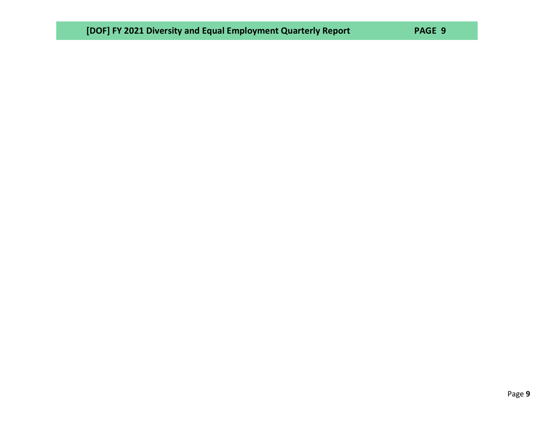| [DOF] FY 2021 Diversity and Equal Employment Quarterly Report | <b>PAGE 9</b> |
|---------------------------------------------------------------|---------------|
|---------------------------------------------------------------|---------------|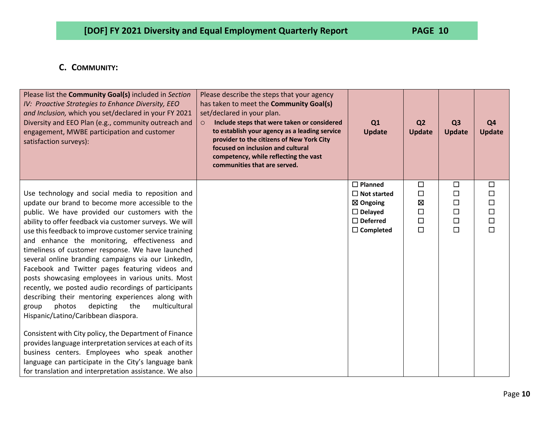# **C. COMMUNITY:**

| Please list the Community Goal(s) included in Section<br>IV: Proactive Strategies to Enhance Diversity, EEO<br>and Inclusion, which you set/declared in your FY 2021<br>Diversity and EEO Plan (e.g., community outreach and<br>engagement, MWBE participation and customer<br>satisfaction surveys):                                                                                                                                                                                                                                                                                                                                                                                                                                                                                                                                                                                                                                                                                                                                                    | Please describe the steps that your agency<br>has taken to meet the Community Goal(s)<br>set/declared in your plan.<br>Include steps that were taken or considered<br>$\circ$<br>to establish your agency as a leading service<br>provider to the citizens of New York City<br>focused on inclusion and cultural<br>competency, while reflecting the vast<br>communities that are served. | Q1<br><b>Update</b>                                                                                                     | Q <sub>2</sub><br><b>Update</b>           | Q <sub>3</sub><br><b>Update</b>                     | Q <sub>4</sub><br><b>Update</b>                                             |
|----------------------------------------------------------------------------------------------------------------------------------------------------------------------------------------------------------------------------------------------------------------------------------------------------------------------------------------------------------------------------------------------------------------------------------------------------------------------------------------------------------------------------------------------------------------------------------------------------------------------------------------------------------------------------------------------------------------------------------------------------------------------------------------------------------------------------------------------------------------------------------------------------------------------------------------------------------------------------------------------------------------------------------------------------------|-------------------------------------------------------------------------------------------------------------------------------------------------------------------------------------------------------------------------------------------------------------------------------------------------------------------------------------------------------------------------------------------|-------------------------------------------------------------------------------------------------------------------------|-------------------------------------------|-----------------------------------------------------|-----------------------------------------------------------------------------|
| Use technology and social media to reposition and<br>update our brand to become more accessible to the<br>public. We have provided our customers with the<br>ability to offer feedback via customer surveys. We will<br>use this feedback to improve customer service training<br>and enhance the monitoring, effectiveness and<br>timeliness of customer response. We have launched<br>several online branding campaigns via our LinkedIn,<br>Facebook and Twitter pages featuring videos and<br>posts showcasing employees in various units. Most<br>recently, we posted audio recordings of participants<br>describing their mentoring experiences along with<br>depicting<br>the<br>photos<br>multicultural<br>group<br>Hispanic/Latino/Caribbean diaspora.<br>Consistent with City policy, the Department of Finance<br>provides language interpretation services at each of its<br>business centers. Employees who speak another<br>language can participate in the City's language bank<br>for translation and interpretation assistance. We also |                                                                                                                                                                                                                                                                                                                                                                                           | $\Box$ Planned<br>$\Box$ Not started<br>$\boxtimes$ Ongoing<br>$\Box$ Delayed<br>$\square$ Deferred<br>$\Box$ Completed | $\Box$<br>□<br>図<br>$\Box$<br>□<br>$\Box$ | $\Box$<br>ப<br>$\Box$<br>$\Box$<br>$\Box$<br>$\Box$ | $\Box$<br>$\Box$<br>$\Box$<br>$\begin{array}{c}\n\Box \\ \Box\n\end{array}$ |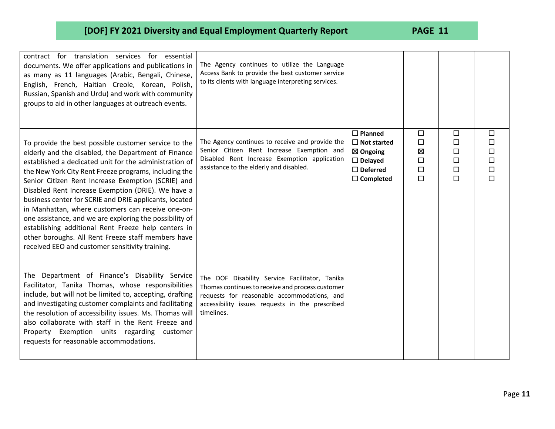| contract for translation services for essential<br>documents. We offer applications and publications in<br>as many as 11 languages (Arabic, Bengali, Chinese,<br>English, French, Haitian Creole, Korean, Polish,<br>Russian, Spanish and Urdu) and work with community<br>groups to aid in other languages at outreach events.                                                                                                                                                                                                                                                                                                                                                      | The Agency continues to utilize the Language<br>Access Bank to provide the best customer service<br>to its clients with language interpreting services.                                                            |                                                                                                                         |                                                     |                                                     |                                                     |  |
|--------------------------------------------------------------------------------------------------------------------------------------------------------------------------------------------------------------------------------------------------------------------------------------------------------------------------------------------------------------------------------------------------------------------------------------------------------------------------------------------------------------------------------------------------------------------------------------------------------------------------------------------------------------------------------------|--------------------------------------------------------------------------------------------------------------------------------------------------------------------------------------------------------------------|-------------------------------------------------------------------------------------------------------------------------|-----------------------------------------------------|-----------------------------------------------------|-----------------------------------------------------|--|
| To provide the best possible customer service to the<br>elderly and the disabled, the Department of Finance<br>established a dedicated unit for the administration of<br>the New York City Rent Freeze programs, including the<br>Senior Citizen Rent Increase Exemption (SCRIE) and<br>Disabled Rent Increase Exemption (DRIE). We have a<br>business center for SCRIE and DRIE applicants, located<br>in Manhattan, where customers can receive one-on-<br>one assistance, and we are exploring the possibility of<br>establishing additional Rent Freeze help centers in<br>other boroughs. All Rent Freeze staff members have<br>received EEO and customer sensitivity training. | The Agency continues to receive and provide the<br>Senior Citizen Rent Increase Exemption and<br>Disabled Rent Increase Exemption application<br>assistance to the elderly and disabled.                           | $\Box$ Planned<br>$\Box$ Not started<br>$\boxtimes$ Ongoing<br>$\square$ Delayed<br>$\Box$ Deferred<br>$\Box$ Completed | $\Box$<br>$\Box$<br>図<br>$\Box$<br>$\Box$<br>$\Box$ | $\Box$<br>□<br>$\Box$<br>$\Box$<br>$\Box$<br>$\Box$ | □<br>$\Box$<br>$\Box$<br>$\Box$<br>$\Box$<br>$\Box$ |  |
| The Department of Finance's Disability Service<br>Facilitator, Tanika Thomas, whose responsibilities<br>include, but will not be limited to, accepting, drafting<br>and investigating customer complaints and facilitating<br>the resolution of accessibility issues. Ms. Thomas will<br>also collaborate with staff in the Rent Freeze and<br>Property Exemption units regarding customer<br>requests for reasonable accommodations.                                                                                                                                                                                                                                                | The DOF Disability Service Facilitator, Tanika<br>Thomas continues to receive and process customer<br>requests for reasonable accommodations, and<br>accessibility issues requests in the prescribed<br>timelines. |                                                                                                                         |                                                     |                                                     |                                                     |  |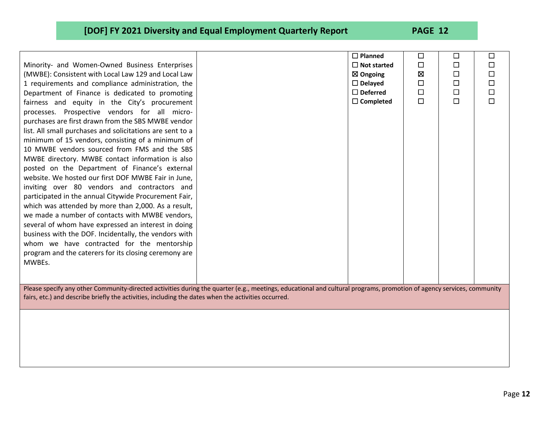| Minority- and Women-Owned Business Enterprises<br>(MWBE): Consistent with Local Law 129 and Local Law<br>1 requirements and compliance administration, the<br>Department of Finance is dedicated to promoting<br>fairness and equity in the City's procurement<br>processes. Prospective vendors for all micro-<br>purchases are first drawn from the SBS MWBE vendor<br>list. All small purchases and solicitations are sent to a<br>minimum of 15 vendors, consisting of a minimum of<br>10 MWBE vendors sourced from FMS and the SBS<br>MWBE directory. MWBE contact information is also<br>posted on the Department of Finance's external<br>website. We hosted our first DOF MWBE Fair in June,<br>inviting over 80 vendors and contractors and<br>participated in the annual Citywide Procurement Fair,<br>which was attended by more than 2,000. As a result,<br>we made a number of contacts with MWBE vendors,<br>several of whom have expressed an interest in doing<br>business with the DOF. Incidentally, the vendors with<br>whom we have contracted for the mentorship<br>program and the caterers for its closing ceremony are<br>MWBEs. |  | $\Box$ Planned<br>$\Box$ Not started<br>$\boxtimes$ Ongoing<br>$\Box$ Delayed<br>$\square$ Deferred<br>$\Box$ Completed | □<br>$\Box$<br>図<br>$\Box$<br>□<br>$\Box$ | □<br>$\Box$<br>$\Box$<br>$\Box$<br>$\Box$<br>$\Box$ | $\Box$<br>$\Box$<br>$\Box$<br>$\Box$<br>$\Box$<br>$\Box$ |  |
|----------------------------------------------------------------------------------------------------------------------------------------------------------------------------------------------------------------------------------------------------------------------------------------------------------------------------------------------------------------------------------------------------------------------------------------------------------------------------------------------------------------------------------------------------------------------------------------------------------------------------------------------------------------------------------------------------------------------------------------------------------------------------------------------------------------------------------------------------------------------------------------------------------------------------------------------------------------------------------------------------------------------------------------------------------------------------------------------------------------------------------------------------------|--|-------------------------------------------------------------------------------------------------------------------------|-------------------------------------------|-----------------------------------------------------|----------------------------------------------------------|--|
| Please specify any other Community-directed activities during the quarter (e.g., meetings, educational and cultural programs, promotion of agency services, community<br>fairs, etc.) and describe briefly the activities, including the dates when the activities occurred.                                                                                                                                                                                                                                                                                                                                                                                                                                                                                                                                                                                                                                                                                                                                                                                                                                                                             |  |                                                                                                                         |                                           |                                                     |                                                          |  |
|                                                                                                                                                                                                                                                                                                                                                                                                                                                                                                                                                                                                                                                                                                                                                                                                                                                                                                                                                                                                                                                                                                                                                          |  |                                                                                                                         |                                           |                                                     |                                                          |  |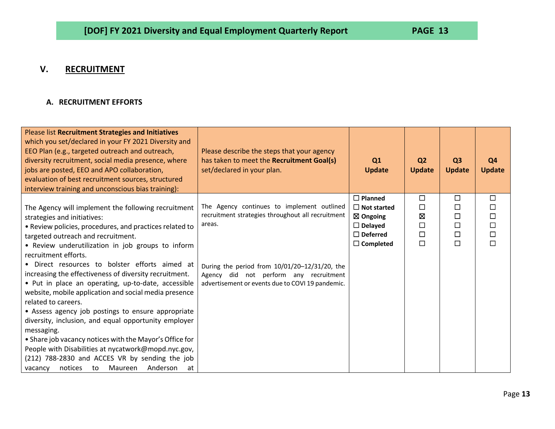# **V. RECRUITMENT**

#### **A. RECRUITMENT EFFORTS**

| Please list Recruitment Strategies and Initiatives<br>which you set/declared in your FY 2021 Diversity and<br>EEO Plan (e.g., targeted outreach and outreach,<br>diversity recruitment, social media presence, where<br>jobs are posted, EEO and APO collaboration,<br>evaluation of best recruitment sources, structured<br>interview training and unconscious bias training):                                                                                                                                                                                                                                                                                                                                                                                                                                                                                              | Please describe the steps that your agency<br>has taken to meet the Recruitment Goal(s)<br>set/declared in your plan.                                                                                                                                    | Q1<br><b>Update</b>                                                                                                  | Q <sub>2</sub><br><b>Update</b>                     | Q <sub>3</sub><br><b>Update</b>                | Q <sub>4</sub><br><b>Update</b>                          |
|------------------------------------------------------------------------------------------------------------------------------------------------------------------------------------------------------------------------------------------------------------------------------------------------------------------------------------------------------------------------------------------------------------------------------------------------------------------------------------------------------------------------------------------------------------------------------------------------------------------------------------------------------------------------------------------------------------------------------------------------------------------------------------------------------------------------------------------------------------------------------|----------------------------------------------------------------------------------------------------------------------------------------------------------------------------------------------------------------------------------------------------------|----------------------------------------------------------------------------------------------------------------------|-----------------------------------------------------|------------------------------------------------|----------------------------------------------------------|
| The Agency will implement the following recruitment<br>strategies and initiatives:<br>• Review policies, procedures, and practices related to<br>targeted outreach and recruitment.<br>• Review underutilization in job groups to inform<br>recruitment efforts.<br>• Direct resources to bolster efforts aimed at<br>increasing the effectiveness of diversity recruitment.<br>• Put in place an operating, up-to-date, accessible<br>website, mobile application and social media presence<br>related to careers.<br>• Assess agency job postings to ensure appropriate<br>diversity, inclusion, and equal opportunity employer<br>messaging.<br>• Share job vacancy notices with the Mayor's Office for<br>People with Disabilities at nycatwork@mopd.nyc.gov,<br>(212) 788-2830 and ACCES VR by sending the job<br>notices<br>Maureen<br>Anderson<br>to<br>at<br>vacancy | The Agency continues to implement outlined<br>recruitment strategies throughout all recruitment<br>areas.<br>During the period from 10/01/20-12/31/20, the<br>Agency did not perform any recruitment<br>advertisement or events due to COVI 19 pandemic. | $\Box$ Planned<br>$\Box$ Not started<br>$\boxtimes$ Ongoing<br>$\Box$ Delayed<br>$\Box$ Deferred<br>$\Box$ Completed | $\Box$<br>$\Box$<br>Χ<br>$\Box$<br>$\Box$<br>$\Box$ | $\Box$<br>$\Box$<br>□<br>□<br>$\Box$<br>$\Box$ | $\Box$<br>$\Box$<br>$\Box$<br>$\Box$<br>$\Box$<br>$\Box$ |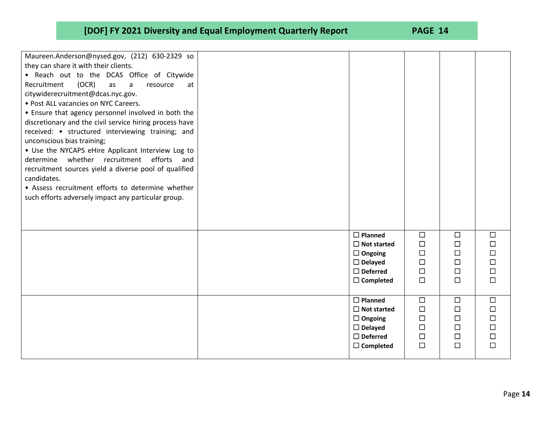| Maureen.Anderson@nysed.gov, (212) 630-2329 so<br>they can share it with their clients.<br>. Reach out to the DCAS Office of Citywide<br>Recruitment<br>(OCR)<br>as<br>resource<br>at<br>a<br>citywiderecruitment@dcas.nyc.gov.<br>• Post ALL vacancies on NYC Careers.<br>• Ensure that agency personnel involved in both the<br>discretionary and the civil service hiring process have<br>received: • structured interviewing training; and<br>unconscious bias training;<br>• Use the NYCAPS eHire Applicant Interview Log to<br>whether recruitment efforts<br>determine<br>and<br>recruitment sources yield a diverse pool of qualified<br>candidates.<br>• Assess recruitment efforts to determine whether<br>such efforts adversely impact any particular group. |                                      |                            |                  |                  |
|-------------------------------------------------------------------------------------------------------------------------------------------------------------------------------------------------------------------------------------------------------------------------------------------------------------------------------------------------------------------------------------------------------------------------------------------------------------------------------------------------------------------------------------------------------------------------------------------------------------------------------------------------------------------------------------------------------------------------------------------------------------------------|--------------------------------------|----------------------------|------------------|------------------|
|                                                                                                                                                                                                                                                                                                                                                                                                                                                                                                                                                                                                                                                                                                                                                                         | $\Box$ Planned<br>$\Box$ Not started | $\Box$<br>$\Box$<br>$\Box$ | $\Box$<br>$\Box$ | $\Box$<br>$\Box$ |
|                                                                                                                                                                                                                                                                                                                                                                                                                                                                                                                                                                                                                                                                                                                                                                         | $\Box$ Ongoing<br>$\Box$ Delayed     | $\Box$                     | □<br>□           | $\Box$<br>$\Box$ |
|                                                                                                                                                                                                                                                                                                                                                                                                                                                                                                                                                                                                                                                                                                                                                                         | $\Box$ Deferred<br>$\Box$ Completed  | $\Box$<br>$\Box$           | $\Box$<br>$\Box$ | $\Box$<br>$\Box$ |
|                                                                                                                                                                                                                                                                                                                                                                                                                                                                                                                                                                                                                                                                                                                                                                         | $\Box$ Planned<br>$\Box$ Not started | $\Box$<br>$\Box$           | $\Box$<br>□      | $\Box$<br>$\Box$ |
|                                                                                                                                                                                                                                                                                                                                                                                                                                                                                                                                                                                                                                                                                                                                                                         | $\Box$ Ongoing<br>$\Box$ Delayed     | $\Box$<br>$\Box$           | □<br>$\Box$      | $\Box$<br>$\Box$ |
|                                                                                                                                                                                                                                                                                                                                                                                                                                                                                                                                                                                                                                                                                                                                                                         | $\Box$ Deferred<br>$\Box$ Completed  | $\Box$<br>$\Box$           | $\Box$<br>$\Box$ | $\Box$<br>$\Box$ |
|                                                                                                                                                                                                                                                                                                                                                                                                                                                                                                                                                                                                                                                                                                                                                                         |                                      |                            |                  |                  |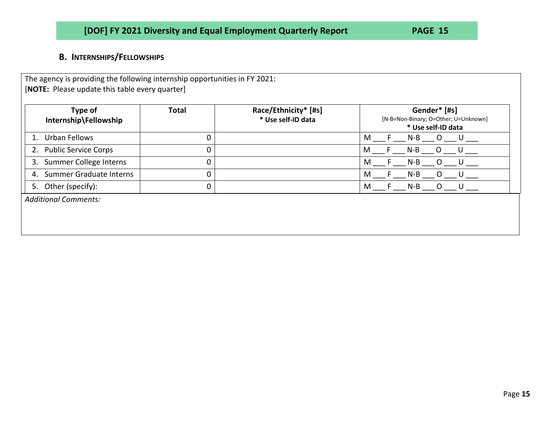# **B. INTERNSHIPS/FELLOWSHIPS**

The agency is providing the following internship opportunities in FY 2021: [**NOTE:** Please update this table every quarter]

| Type of<br>Internship\Fellowship | Total | Race/Ethnicity* [#s]<br>* Use self-ID data | Gender* [#s]<br>[N-B=Non-Binary; O=Other; U=Unknown]<br>* Use self-ID data |
|----------------------------------|-------|--------------------------------------------|----------------------------------------------------------------------------|
| 1. Urban Fellows                 |       |                                            | N-B O<br>M                                                                 |
| 2. Public Service Corps          |       |                                            | $N-B$<br>M<br>Ő                                                            |
| 3. Summer College Interns        |       |                                            | M<br>N-B                                                                   |
| 4. Summer Graduate Interns       |       |                                            | M<br>N-B                                                                   |
| Other (specify):                 |       |                                            | M<br>N-B                                                                   |

*Additional Comments:*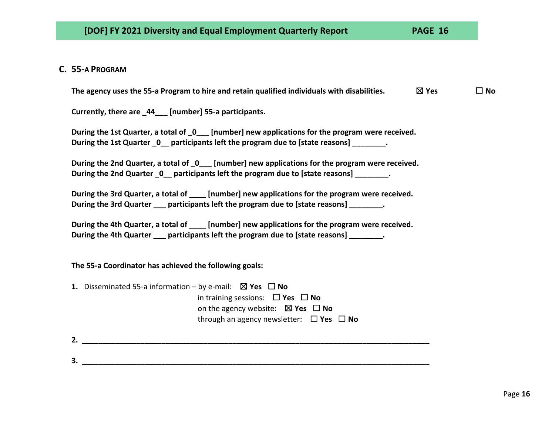#### **C. 55-A PROGRAM**

The agency uses the 55-a Program to hire and retain qualified individuals with disabilities.  $\boxtimes$  Yes  $\Box$  No

**Currently, there are \_44\_\_\_ [number] 55-a participants.**

| During the 1st Quarter, a total of _0 ___ [number] new applications for the program were received. |
|----------------------------------------------------------------------------------------------------|
| During the 1st Quarter _0_ participants left the program due to [state reasons]                    |

**During the 2nd Quarter, a total of \_0\_\_\_ [number] new applications for the program were received. During the 2nd Quarter \_0\_\_ participants left the program due to [state reasons] \_\_\_\_\_\_\_\_.**

**During the 3rd Quarter, a total of \_\_\_\_ [number] new applications for the program were received. During the 3rd Quarter \_\_\_ participants left the program due to [state reasons] \_\_\_\_\_\_\_\_.**

| During the 4th Quarter, a total of | [number] new applications for the program were received. |  |
|------------------------------------|----------------------------------------------------------|--|
| During the 4th Quarter             | participants left the program due to [state reasons]     |  |

**The 55-a Coordinator has achieved the following goals:**

| <b>1.</b> Disseminated 55-a information – by e-mail: $\boxtimes$ Yes $\Box$ No |
|--------------------------------------------------------------------------------|
| in training sessions: $\Box$ Yes $\Box$ No                                     |
| on the agency website: $\boxtimes$ Yes $\Box$ No                               |
| through an agency newsletter: $\Box$ Yes $\Box$ No                             |

**2. \_\_\_\_\_\_\_\_\_\_\_\_\_\_\_\_\_\_\_\_\_\_\_\_\_\_\_\_\_\_\_\_\_\_\_\_\_\_\_\_\_\_\_\_\_\_\_\_\_\_\_\_\_\_\_\_\_\_\_\_\_\_\_\_\_\_\_\_\_\_\_\_\_\_\_\_\_\_\_\_\_\_\_**

**3. \_\_\_\_\_\_\_\_\_\_\_\_\_\_\_\_\_\_\_\_\_\_\_\_\_\_\_\_\_\_\_\_\_\_\_\_\_\_\_\_\_\_\_\_\_\_\_\_\_\_\_\_\_\_\_\_\_\_\_\_\_\_\_\_\_\_\_\_\_\_\_\_\_\_\_\_\_\_\_\_\_\_\_**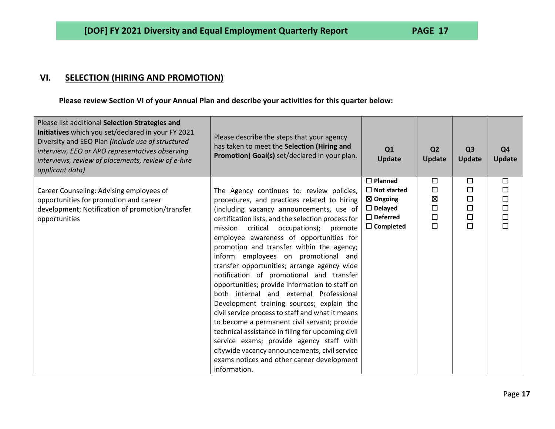# **VI. SELECTION (HIRING AND PROMOTION)**

**Please review Section VI of your Annual Plan and describe your activities for this quarter below:**

| Please list additional Selection Strategies and<br>Initiatives which you set/declared in your FY 2021<br>Diversity and EEO Plan (include use of structured<br>interview, EEO or APO representatives observing<br>interviews, review of placements, review of e-hire<br>applicant data) | Please describe the steps that your agency<br>has taken to meet the Selection (Hiring and<br>Promotion) Goal(s) set/declared in your plan.                                                                                                                                                                                                                                                                                                                                                                                                                                                                                                                                                                                                                                                                                                                                                                                         | Q1<br>Update                                                                                                         | Q <sub>2</sub><br>Update                            | Q <sub>3</sub><br><b>Update</b>           | Q <sub>4</sub><br>Update                                 |
|----------------------------------------------------------------------------------------------------------------------------------------------------------------------------------------------------------------------------------------------------------------------------------------|------------------------------------------------------------------------------------------------------------------------------------------------------------------------------------------------------------------------------------------------------------------------------------------------------------------------------------------------------------------------------------------------------------------------------------------------------------------------------------------------------------------------------------------------------------------------------------------------------------------------------------------------------------------------------------------------------------------------------------------------------------------------------------------------------------------------------------------------------------------------------------------------------------------------------------|----------------------------------------------------------------------------------------------------------------------|-----------------------------------------------------|-------------------------------------------|----------------------------------------------------------|
| Career Counseling: Advising employees of<br>opportunities for promotion and career<br>development; Notification of promotion/transfer<br>opportunities                                                                                                                                 | The Agency continues to: review policies,<br>procedures, and practices related to hiring<br>(including vacancy announcements, use of<br>certification lists, and the selection process for<br>critical occupations);<br>mission<br>promote<br>employee awareness of opportunities for<br>promotion and transfer within the agency;<br>inform employees on promotional and<br>transfer opportunities; arrange agency wide<br>notification of promotional and transfer<br>opportunities; provide information to staff on<br>both internal and external Professional<br>Development training sources; explain the<br>civil service process to staff and what it means<br>to become a permanent civil servant; provide<br>technical assistance in filing for upcoming civil<br>service exams; provide agency staff with<br>citywide vacancy announcements, civil service<br>exams notices and other career development<br>information. | $\Box$ Planned<br>$\Box$ Not started<br>$\boxtimes$ Ongoing<br>$\Box$ Delayed<br>$\Box$ Deferred<br>$\Box$ Completed | $\Box$<br>$\Box$<br>Ø<br>$\Box$<br>$\Box$<br>$\Box$ | □<br>$\Box$<br>$\Box$<br>□<br>□<br>$\Box$ | $\Box$<br>$\Box$<br>$\Box$<br>$\Box$<br>$\Box$<br>$\Box$ |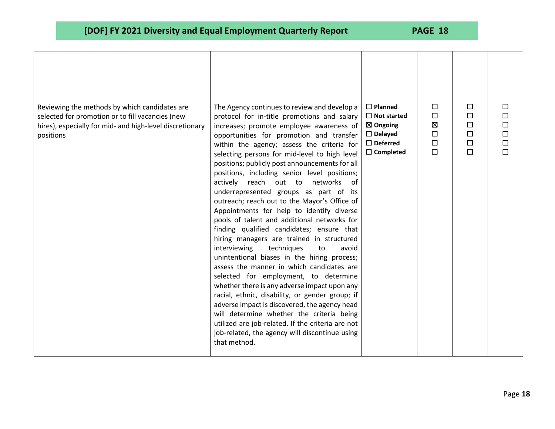| Reviewing the methods by which candidates are<br>selected for promotion or to fill vacancies (new<br>hires), especially for mid- and high-level discretionary<br>positions | The Agency continues to review and develop a<br>protocol for in-title promotions and salary<br>increases; promote employee awareness of<br>opportunities for promotion and transfer<br>within the agency; assess the criteria for<br>selecting persons for mid-level to high level<br>positions; publicly post announcements for all<br>positions, including senior level positions;<br>actively reach out to networks<br>of<br>underrepresented groups as part of its<br>outreach; reach out to the Mayor's Office of<br>Appointments for help to identify diverse<br>pools of talent and additional networks for<br>finding qualified candidates; ensure that<br>hiring managers are trained in structured<br>techniques<br>interviewing<br>to<br>avoid<br>unintentional biases in the hiring process;<br>assess the manner in which candidates are<br>selected for employment, to determine<br>whether there is any adverse impact upon any<br>racial, ethnic, disability, or gender group; if<br>adverse impact is discovered, the agency head<br>will determine whether the criteria being<br>utilized are job-related. If the criteria are not<br>job-related, the agency will discontinue using<br>that method. | $\square$ Planned<br>$\Box$ Not started<br>$\boxtimes$ Ongoing<br>$\Box$ Delayed<br>$\Box$ Deferred<br>$\Box$ Completed | □<br>$\Box$<br>X<br>口<br>□<br>$\Box$ | $\Box$<br>□<br>□<br>□<br>□<br>□ | $\Box$<br>$\Box$<br>□<br>□<br>□<br>$\Box$ |
|----------------------------------------------------------------------------------------------------------------------------------------------------------------------------|------------------------------------------------------------------------------------------------------------------------------------------------------------------------------------------------------------------------------------------------------------------------------------------------------------------------------------------------------------------------------------------------------------------------------------------------------------------------------------------------------------------------------------------------------------------------------------------------------------------------------------------------------------------------------------------------------------------------------------------------------------------------------------------------------------------------------------------------------------------------------------------------------------------------------------------------------------------------------------------------------------------------------------------------------------------------------------------------------------------------------------------------------------------------------------------------------------------------|-------------------------------------------------------------------------------------------------------------------------|--------------------------------------|---------------------------------|-------------------------------------------|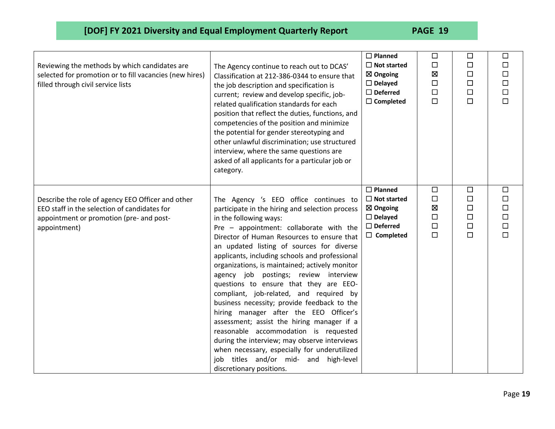| Reviewing the methods by which candidates are<br>selected for promotion or to fill vacancies (new hires)<br>filled through civil service lists                | The Agency continue to reach out to DCAS'<br>Classification at 212-386-0344 to ensure that<br>the job description and specification is<br>current; review and develop specific, job-<br>related qualification standards for each<br>position that reflect the duties, functions, and<br>competencies of the position and minimize<br>the potential for gender stereotyping and<br>other unlawful discrimination; use structured<br>interview, where the same questions are<br>asked of all applicants for a particular job or<br>category.                                                                                                                                                                                                                                                                                                      | $\Box$ Planned<br>$\Box$ Not started<br>$\boxtimes$ Ongoing<br>$\Box$ Delayed<br>$\Box$ Deferred<br>$\Box$ Completed    | $\Box$<br>$\Box$<br>Ø<br>$\Box$<br>$\Box$<br>$\Box$ | □<br>$\Box$<br>$\Box$<br>$\Box$<br>$\Box$<br>$\Box$      | $\Box$<br>$\Box$<br>$\Box$<br>$\Box$<br>$\Box$<br>$\Box$ |
|---------------------------------------------------------------------------------------------------------------------------------------------------------------|-------------------------------------------------------------------------------------------------------------------------------------------------------------------------------------------------------------------------------------------------------------------------------------------------------------------------------------------------------------------------------------------------------------------------------------------------------------------------------------------------------------------------------------------------------------------------------------------------------------------------------------------------------------------------------------------------------------------------------------------------------------------------------------------------------------------------------------------------|-------------------------------------------------------------------------------------------------------------------------|-----------------------------------------------------|----------------------------------------------------------|----------------------------------------------------------|
| Describe the role of agency EEO Officer and other<br>EEO staff in the selection of candidates for<br>appointment or promotion (pre- and post-<br>appointment) | The Agency 's EEO office continues to<br>participate in the hiring and selection process<br>in the following ways:<br>Pre - appointment: collaborate with the<br>Director of Human Resources to ensure that<br>an updated listing of sources for diverse<br>applicants, including schools and professional<br>organizations, is maintained; actively monitor<br>agency job postings; review interview<br>questions to ensure that they are EEO-<br>compliant, job-related, and required by<br>business necessity; provide feedback to the<br>hiring manager after the EEO Officer's<br>assessment; assist the hiring manager if a<br>reasonable accommodation is requested<br>during the interview; may observe interviews<br>when necessary, especially for underutilized<br>job titles and/or mid- and high-level<br>discretionary positions. | $\square$ Planned<br>$\Box$ Not started<br>$\boxtimes$ Ongoing<br>$\Box$ Delayed<br>$\Box$ Deferred<br>$\Box$ Completed | $\Box$<br>$\Box$<br>Ø<br>$\Box$<br>$\Box$<br>$\Box$ | $\Box$<br>$\Box$<br>$\Box$<br>$\Box$<br>$\Box$<br>$\Box$ | $\Box$<br>$\Box$<br>$\Box$<br>$\Box$<br>$\Box$<br>$\Box$ |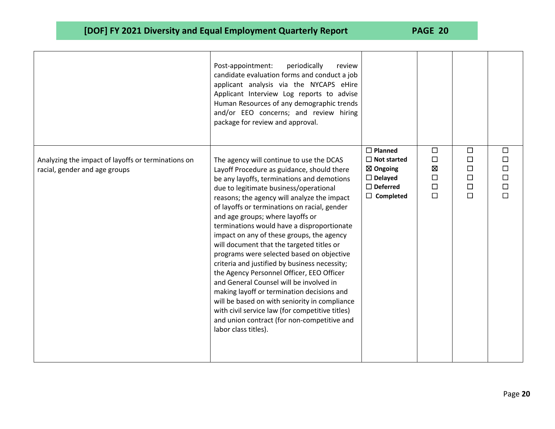Г

|                                                                                     | Post-appointment:<br>periodically<br>review<br>candidate evaluation forms and conduct a job<br>applicant analysis via the NYCAPS eHire<br>Applicant Interview Log reports to advise<br>Human Resources of any demographic trends<br>and/or EEO concerns; and review hiring<br>package for review and approval.                                                                                                                                                                                                                                                                                                                                                                                                                                                                                                                                                           |                                                                                                                      |                                                     |                                                          |                                                     |
|-------------------------------------------------------------------------------------|--------------------------------------------------------------------------------------------------------------------------------------------------------------------------------------------------------------------------------------------------------------------------------------------------------------------------------------------------------------------------------------------------------------------------------------------------------------------------------------------------------------------------------------------------------------------------------------------------------------------------------------------------------------------------------------------------------------------------------------------------------------------------------------------------------------------------------------------------------------------------|----------------------------------------------------------------------------------------------------------------------|-----------------------------------------------------|----------------------------------------------------------|-----------------------------------------------------|
| Analyzing the impact of layoffs or terminations on<br>racial, gender and age groups | The agency will continue to use the DCAS<br>Layoff Procedure as guidance, should there<br>be any layoffs, terminations and demotions<br>due to legitimate business/operational<br>reasons; the agency will analyze the impact<br>of layoffs or terminations on racial, gender<br>and age groups; where layoffs or<br>terminations would have a disproportionate<br>impact on any of these groups, the agency<br>will document that the targeted titles or<br>programs were selected based on objective<br>criteria and justified by business necessity;<br>the Agency Personnel Officer, EEO Officer<br>and General Counsel will be involved in<br>making layoff or termination decisions and<br>will be based on with seniority in compliance<br>with civil service law (for competitive titles)<br>and union contract (for non-competitive and<br>labor class titles). | $\Box$ Planned<br>$\Box$ Not started<br>$\boxtimes$ Ongoing<br>$\Box$ Delayed<br>$\Box$ Deferred<br>$\Box$ Completed | $\Box$<br>$\Box$<br>Ø<br>$\Box$<br>$\Box$<br>$\Box$ | $\Box$<br>$\Box$<br>$\Box$<br>$\Box$<br>$\Box$<br>$\Box$ | $\Box$<br>□<br>$\Box$<br>$\Box$<br>$\Box$<br>$\Box$ |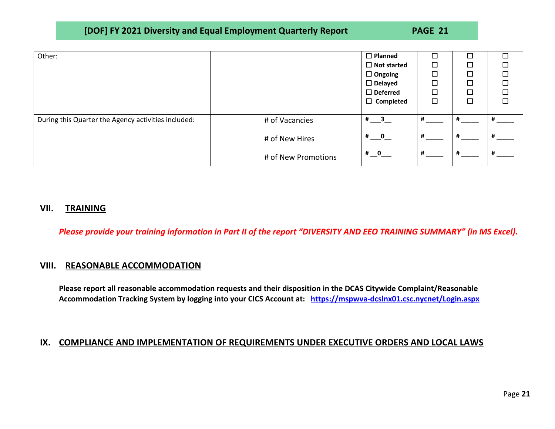| Other:                                              |                     | $\Box$ Planned     |        |        |        |
|-----------------------------------------------------|---------------------|--------------------|--------|--------|--------|
|                                                     |                     | $\Box$ Not started | $\Box$ |        |        |
|                                                     |                     | $\Box$ Ongoing     | $\Box$ |        | $\Box$ |
|                                                     |                     | $\Box$ Delayed     | $\Box$ |        | $\Box$ |
|                                                     |                     | $\Box$ Deferred    | □      | $\Box$ | $\Box$ |
|                                                     |                     | $\Box$ Completed   | $\Box$ | $\Box$ | $\Box$ |
|                                                     |                     |                    |        |        |        |
| During this Quarter the Agency activities included: | # of Vacancies      | $#$ 3              |        | #      | #      |
|                                                     | # of New Hires      | $#$ 0              |        | #      | Ħ      |
|                                                     | # of New Promotions | # 0                |        | Ħ      | #      |

#### **VII. TRAINING**

*Please provide your training information in Part II of the report "DIVERSITY AND EEO TRAINING SUMMARY" (in MS Excel).*

#### **VIII. REASONABLE ACCOMMODATION**

**Please report all reasonable accommodation requests and their disposition in the DCAS Citywide Complaint/Reasonable Accommodation Tracking System by logging into your CICS Account at: <https://mspwva-dcslnx01.csc.nycnet/Login.aspx>**

#### **IX. COMPLIANCE AND IMPLEMENTATION OF REQUIREMENTS UNDER EXECUTIVE ORDERS AND LOCAL LAWS**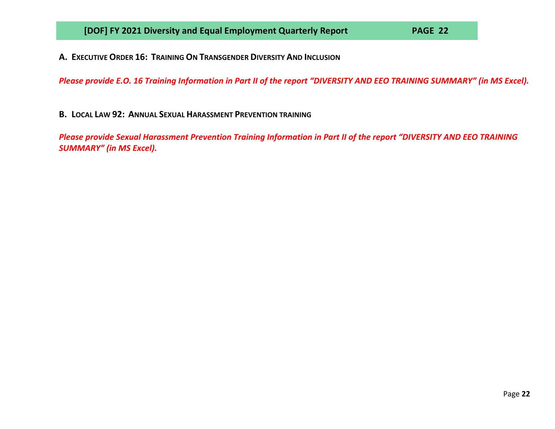**A. EXECUTIVE ORDER 16: TRAINING ON TRANSGENDER DIVERSITY AND INCLUSION**

*Please provide E.O. 16 Training Information in Part II of the report "DIVERSITY AND EEO TRAINING SUMMARY" (in MS Excel).*

**B. LOCAL LAW 92: ANNUAL SEXUAL HARASSMENT PREVENTION TRAINING**

*Please provide Sexual Harassment Prevention Training Information in Part II of the report "DIVERSITY AND EEO TRAINING SUMMARY" (in MS Excel).*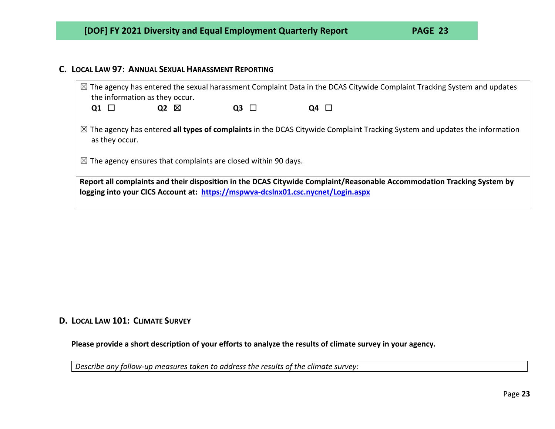#### **C. LOCAL LAW 97: ANNUAL SEXUAL HARASSMENT REPORTING**

| $\boxtimes$ The agency has entered the sexual harassment Complaint Data in the DCAS Citywide Complaint Tracking System and updates<br>the information as they occur.                                       |      |           |           |                                                                                                                                       |  |  |
|------------------------------------------------------------------------------------------------------------------------------------------------------------------------------------------------------------|------|-----------|-----------|---------------------------------------------------------------------------------------------------------------------------------------|--|--|
| Q1 O                                                                                                                                                                                                       | Q2 ⊠ | Q3 $\Box$ | Q4 $\Box$ |                                                                                                                                       |  |  |
| as they occur.                                                                                                                                                                                             |      |           |           | $\boxtimes$ The agency has entered all types of complaints in the DCAS Citywide Complaint Tracking System and updates the information |  |  |
| $\boxtimes$ The agency ensures that complaints are closed within 90 days.                                                                                                                                  |      |           |           |                                                                                                                                       |  |  |
| Report all complaints and their disposition in the DCAS Citywide Complaint/Reasonable Accommodation Tracking System by<br>logging into your CICS Account at: https://mspwva-dcslnx01.csc.nycnet/Login.aspx |      |           |           |                                                                                                                                       |  |  |
|                                                                                                                                                                                                            |      |           |           |                                                                                                                                       |  |  |

#### **D. LOCAL LAW 101: CLIMATE SURVEY**

**Please provide a short description of your efforts to analyze the results of climate survey in your agency.**

*Describe any follow-up measures taken to address the results of the climate survey:*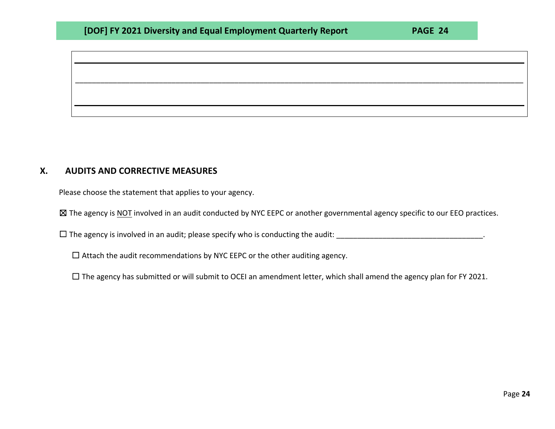## **X. AUDITS AND CORRECTIVE MEASURES**

Please choose the statement that applies to your agency.

☒ The agency is NOT involved in an audit conducted by NYC EEPC or another governmental agency specific to our EEO practices.

 $\Box$  The agency is involved in an audit; please specify who is conducting the audit:  $\Box$ 

☐ Attach the audit recommendations by NYC EEPC or the other auditing agency.

☐ The agency has submitted or will submit to OCEI an amendment letter, which shall amend the agency plan for FY 2021.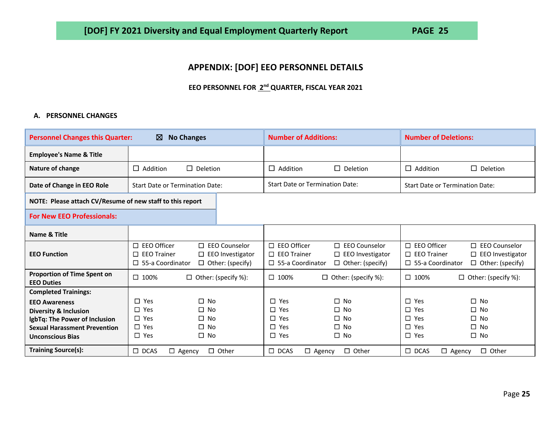## **APPENDIX: [DOF] EEO PERSONNEL DETAILS**

#### **EEO PERSONNEL FOR 2nd QUARTER, FISCAL YEAR 2021**

#### **A. PERSONNEL CHANGES**

| <b>Personnel Changes this Quarter:</b><br>⊠<br><b>No Changes</b>                                                                                            |                                                                                                                                                         | <b>Number of Additions:</b>                                                                                                                       | <b>Number of Deletions:</b>                                                                                                                                 |  |
|-------------------------------------------------------------------------------------------------------------------------------------------------------------|---------------------------------------------------------------------------------------------------------------------------------------------------------|---------------------------------------------------------------------------------------------------------------------------------------------------|-------------------------------------------------------------------------------------------------------------------------------------------------------------|--|
| <b>Employee's Name &amp; Title</b>                                                                                                                          |                                                                                                                                                         |                                                                                                                                                   |                                                                                                                                                             |  |
| Nature of change                                                                                                                                            | $\Box$ Addition<br>$\Box$ Deletion                                                                                                                      | $\Box$ Addition<br>$\Box$ Deletion                                                                                                                | $\Box$ Addition<br>$\Box$ Deletion                                                                                                                          |  |
| Date of Change in EEO Role                                                                                                                                  | <b>Start Date or Termination Date:</b>                                                                                                                  | <b>Start Date or Termination Date:</b>                                                                                                            | <b>Start Date or Termination Date:</b>                                                                                                                      |  |
| NOTE: Please attach CV/Resume of new staff to this report                                                                                                   |                                                                                                                                                         |                                                                                                                                                   |                                                                                                                                                             |  |
| <b>For New EEO Professionals:</b>                                                                                                                           |                                                                                                                                                         |                                                                                                                                                   |                                                                                                                                                             |  |
| Name & Title                                                                                                                                                |                                                                                                                                                         |                                                                                                                                                   |                                                                                                                                                             |  |
| <b>EEO Function</b>                                                                                                                                         | $\square$ EEO Officer<br><b>EEO Counselor</b><br>□<br>$\Box$ EEO Trainer<br>EEO Investigator<br>□<br>$\Box$ 55-a Coordinator<br>□<br>Other: (specify)   | $\Box$ EEO Officer<br>$\Box$ EEO Counselor<br>$\Box$ EEO Trainer<br>$\Box$ EEO Investigator<br>$\Box$ 55-a Coordinator<br>$\Box$ Other: (specify) | $\Box$ EEO Officer<br><b>EEO Counselor</b><br>$\Box$<br>$\Box$ EEO Trainer<br>$\Box$ EEO Investigator<br>$\Box$ Other: (specify)<br>$\Box$ 55-a Coordinator |  |
| <b>Proportion of Time Spent on</b><br><b>EEO Duties</b>                                                                                                     | $\square$ 100%<br>$\Box$ Other: (specify %):                                                                                                            | $\Box$ 100%<br>$\Box$ Other: (specify %):                                                                                                         | $\Box$ Other: (specify %):<br>$\Box$ 100%                                                                                                                   |  |
| <b>Completed Trainings:</b>                                                                                                                                 |                                                                                                                                                         |                                                                                                                                                   |                                                                                                                                                             |  |
| <b>EEO Awareness</b><br><b>Diversity &amp; Inclusion</b><br>IgbTq: The Power of Inclusion<br><b>Sexual Harassment Prevention</b><br><b>Unconscious Bias</b> | $\Box$<br>Yes<br>□<br><b>No</b><br>$\Box$ Yes<br>□<br>No<br>□<br>$\square$ Yes<br><b>No</b><br>$\Box$ Yes<br>□<br><b>No</b><br>$\square$ Yes<br>□<br>No | $\Box$<br>$\Box$ Yes<br><b>No</b><br>□<br>$\Box$ Yes<br>No<br>$\Box$<br>$\square$ Yes<br>No<br>$\Box$ Yes<br>□<br>No<br>口.<br>$\square$ Yes<br>No | $\Box$ No<br>$\Box$ Yes<br>$\Box$ No<br>$\square$ Yes<br>$\Box$ No<br>$\square$ Yes<br>$\square$ No<br>$\Box$ Yes<br>$\square$ No<br>$\square$ Yes          |  |
| <b>Training Source(s):</b>                                                                                                                                  | $\square$ DCAS<br>$\Box$ Other<br>□ Agency                                                                                                              | $\Box$ Other<br>$\Box$ DCAS<br>$\Box$ Agency                                                                                                      | $\square$ DCAS<br>$\Box$ Agency<br>$\Box$ Other                                                                                                             |  |